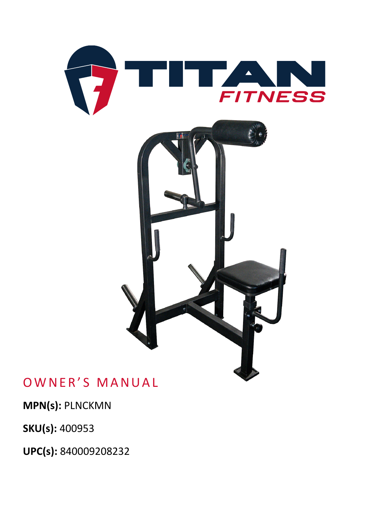

### OWNER'S MANUAL

**MPN(s):** PLNCKMN

**SKU(s):** 400953

**UPC(s):** 840009208232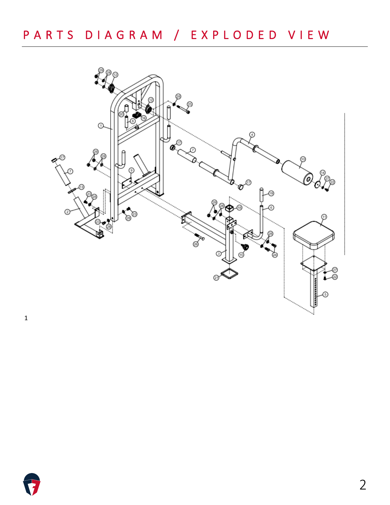

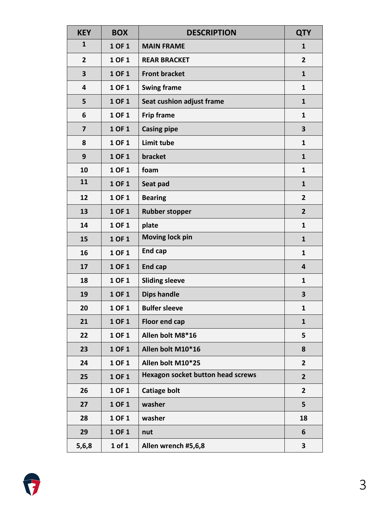| <b>KEY</b>     | <b>BOX</b> | <b>DESCRIPTION</b>                       | <b>QTY</b>              |
|----------------|------------|------------------------------------------|-------------------------|
| $\mathbf{1}$   | 1 OF 1     | <b>MAIN FRAME</b>                        | $\mathbf{1}$            |
| $\overline{2}$ | 1 OF 1     | <b>REAR BRACKET</b>                      | $\overline{2}$          |
| 3              | 1 OF 1     | <b>Front bracket</b>                     | $\mathbf{1}$            |
| 4              | 1 OF 1     | <b>Swing frame</b>                       | $\mathbf{1}$            |
| 5              | 1 OF 1     | Seat cushion adjust frame                | $\mathbf{1}$            |
| 6              | 1 OF 1     | <b>Frip frame</b>                        | $\mathbf{1}$            |
| 7              | 1 OF 1     | <b>Casing pipe</b>                       | 3                       |
| 8              | 1 OF 1     | Limit tube                               | $\mathbf{1}$            |
| 9              | 1 OF 1     | bracket                                  | $\mathbf{1}$            |
| 10             | 1 OF 1     | foam                                     | $\mathbf{1}$            |
| 11             | 1 OF 1     | Seat pad                                 | $\mathbf{1}$            |
| 12             | 1 OF 1     | <b>Bearing</b>                           | $\overline{2}$          |
| 13             | 1 OF 1     | <b>Rubber stopper</b>                    | $\overline{2}$          |
| 14             | 1 OF 1     | plate                                    | $\mathbf{1}$            |
| 15             | 1 OF 1     | <b>Moving lock pin</b>                   | $\mathbf{1}$            |
| 16             | 1 OF 1     | <b>End cap</b>                           | $\mathbf{1}$            |
| 17             | 1 OF 1     | <b>End cap</b>                           | $\overline{\mathbf{4}}$ |
| 18             | 1 OF 1     | <b>Sliding sleeve</b>                    | $\mathbf{1}$            |
| 19             | 1 OF 1     | <b>Dips handle</b>                       | 3                       |
| 20             | 1 OF 1     | <b>Bulfer sleeve</b>                     | 1                       |
| 21             | 1 OF 1     | <b>Floor end cap</b>                     | $\mathbf{1}$            |
| 22             | 1 OF 1     | Allen bolt M8*16                         | 5                       |
| 23             | 1 OF 1     | Allen bolt M10*16                        | 8                       |
| 24             | 1 OF 1     | Allen bolt M10*25                        | $\overline{2}$          |
| 25             | 1 OF 1     | <b>Hexagon socket button head screws</b> | $\overline{2}$          |
| 26             | 1 OF 1     | <b>Catiage bolt</b>                      | $\overline{2}$          |
| 27             | 1 OF 1     | washer                                   | 5                       |
| 28             | 1 OF 1     | washer                                   | 18                      |
| 29             | 1 OF 1     | nut                                      | 6                       |
| 5,6,8          | $1$ of $1$ | Allen wrench #5,6,8                      | 3                       |